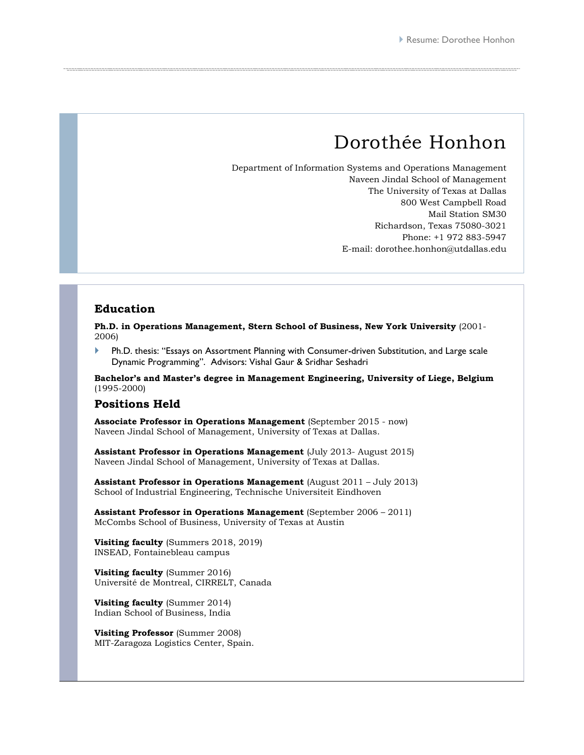# Dorothée Honhon

Department of Information Systems and Operations Management Naveen Jindal School of Management The University of Texas at Dallas 800 West Campbell Road Mail Station SM30 Richardson, Texas 75080-3021 Phone: +1 972 883-5947 E-mail: dorothee.honhon@utdallas.edu

#### **Education**

**Ph.D. in Operations Management, Stern School of Business, New York University** (2001- 2006)

 Ph.D. thesis: "Essays on Assortment Planning with Consumer-driven Substitution, and Large scale Dynamic Programming". Advisors: Vishal Gaur & Sridhar Seshadri

**Bachelor's and Master's degree in Management Engineering, University of Liege, Belgium**  (1995-2000)

#### **Positions Held**

**Associate Professor in Operations Management** (September 2015 - now) Naveen Jindal School of Management, University of Texas at Dallas.

**Assistant Professor in Operations Management** (July 2013- August 2015) Naveen Jindal School of Management, University of Texas at Dallas.

**Assistant Professor in Operations Management** (August 2011 – July 2013) School of Industrial Engineering, Technische Universiteit Eindhoven

**Assistant Professor in Operations Management** (September 2006 – 2011) McCombs School of Business, University of Texas at Austin

**Visiting faculty** (Summers 2018, 2019) INSEAD, Fontainebleau campus

**Visiting faculty** (Summer 2016) Université de Montreal, CIRRELT, Canada

**Visiting faculty** (Summer 2014) Indian School of Business, India

**Visiting Professor** (Summer 2008) MIT-Zaragoza Logistics Center, Spain.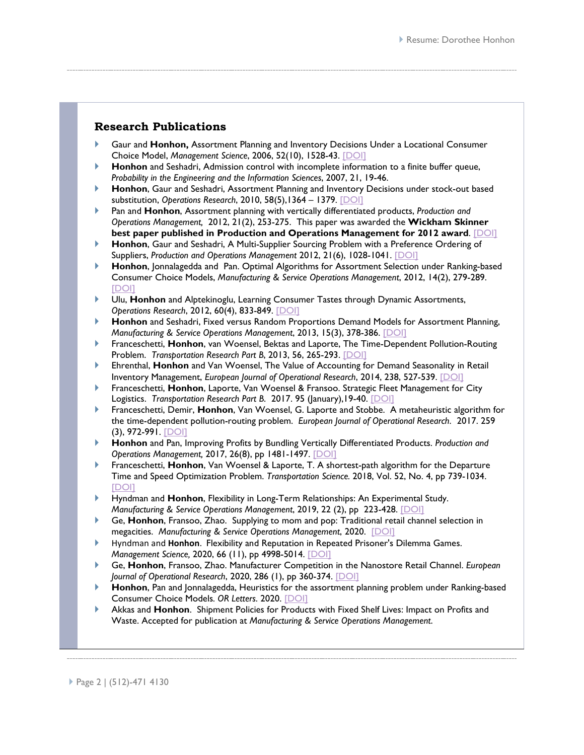## **Research Publications**

- Gaur and **Honhon,** Assortment Planning and Inventory Decisions Under a Locational Consumer Choice Model, *Management Science*, 2006, 52(10), 1528-43. [\[DOI\]](https://doi.org/10.1287/mnsc.1060.0580)
- **Honhon** and Seshadri, Admission control with incomplete information to a finite buffer queue, *Probability in the Engineering and the Information Sciences*, 2007, 21, 19-46.
- **Honhon**, Gaur and Seshadri, Assortment Planning and Inventory Decisions under stock-out based substitution, *Operations Research*, 2010, 58(5),1364 – 1379. [\[DOI\]](https://doi.org/10.1287/opre.1090.0805)
- Pan and **Honhon**, Assortment planning with vertically differentiated products, *Production and Operations Management,* 2012, 21(2), 253-275. This paper was awarded the **Wickham Skinner best paper published in Production and Operations Management for 2012 award**. [\[DOI\]](https://doi.org/10.1111/j.1937-5956.2011.01259.x)
- **Honhon**, Gaur and Seshadri, A Multi-Supplier Sourcing Problem with a Preference Ordering of Suppliers, *Production and Operations Management* 2012, 21(6), 1028-1041. [\[DOI\]](https://doi.org/10.1111/j.1937-5956.2012.01346.x)
- **Honhon**, Jonnalagedda and Pan. Optimal Algorithms for Assortment Selection under Ranking-based Consumer Choice Models, *Manufacturing & Service Operations Management*, 2012, 14(2), 279-289. [\[DOI\]](https://doi.org/10.1287/msom.1110.0365)
- Ulu, **Honhon** and Alptekinoglu, Learning Consumer Tastes through Dynamic Assortments, *Operations Research*, 2012, 60(4), 833-849. [\[DOI\]](https://doi.org/10.1287/opre.1120.1067)
- **Honhon** and Seshadri, Fixed versus Random Proportions Demand Models for Assortment Planning, *Manufacturing & Service Operations Management*, 2013, 15(3), 378-386. [\[DOI\]](https://doi.org/10.1287/msom.1120.0425)
- Franceschetti, **Honhon**, van Woensel, Bektas and Laporte, The Time-Dependent Pollution-Routing Problem. *Transportation Research Part B*, 2013, 56, 265-293. [\[DOI\]](https://doi.org/10.1016/j.trb.2013.08.008)
- Ehrenthal, **Honhon** and Van Woensel, The Value of Accounting for Demand Seasonality in Retail Inventory Management, *European Journal of Operational Research*, 2014, 238, 527-539. [\[DOI\]](https://doi.org/10.1016/j.ejor.2014.03.030)
- Franceschetti, **Honhon**, Laporte, Van Woensel & Fransoo. Strategic Fleet Management for City Logistics. *Transportation Research Part B.* 2017. 95 (January), 19-40. [\[DOI\]](https://doi.org/10.1016/j.trb.2016.10.005)
- Franceschetti, Demir, **Honhon**, Van Woensel, G. Laporte and Stobbe. A metaheuristic algorithm for the time-dependent pollution-routing problem. *European Journal of Operational Research*. 2017. 259 (3), 972-991. [\[DOI\]](https://doi.org/10.1016/j.ejor.2016.11.026)
- **Honhon** and Pan, Improving Profits by Bundling Vertically Differentiated Products. *Production and Operations Management,* 2017, 26(8), pp 1481-1497. [\[DOI\]](https://doi.org/10.1111/poms.12686)
- Franceschetti, **Honhon**, Van Woensel & Laporte, T. A shortest-path algorithm for the Departure Time and Speed Optimization Problem. *Transportation Science.* 2018, [Vol. 52, No. 4,](https://pubsonline.informs.org/toc/trsc/52/4) pp 739-1034. [\[DOI\]](https://doi.org/10.1287/trsc.2018.0820)
- Hyndman and **Honhon**, Flexibility in Long-Term Relationships: An Experimental Study. *Manufacturing & Service Operations Management*, 2019, 22 (2), pp 223-428. [\[DOI\]](https://doi.org/10.1287/msom.2018.0736)
- Ge, **Honhon**, Fransoo, Zhao. Supplying to mom and pop: Traditional retail channel selection in megacities. *Manufacturing & Service Operations Management*, 2020. [\[DOI\]](https://doi.org/10.1287/msom.2019.0806)
- Hyndman and **Honhon**. Flexibility and Reputation in Repeated Prisoner's Dilemma Games. *Management Science, 2020, 66 (11), pp 4998-5014.* [\[DOI\]](https://doi.org/10.1287/mnsc.2019.3495)
- Ge, **Honhon**, Fransoo, Zhao. Manufacturer Competition in the Nanostore Retail Channel. *European Journal of Operational Research*, 2020, 286 (1), pp 360-374. [\[DOI\]](https://doi.org/10.1016/j.ejor.2020.03.011)
- **Honhon**, Pan and Jonnalagedda, Heuristics for the assortment planning problem under Ranking-based Consumer Choice Models*. OR Letters*. 2020. [\[DOI\]](https://doi.org/10.1016/j.orl.2020.03.005)
- Akkas and **Honhon**. Shipment Policies for Products with Fixed Shelf Lives: Impact on Profits and Waste. Accepted for publication at *Manufacturing & Service Operations Management*.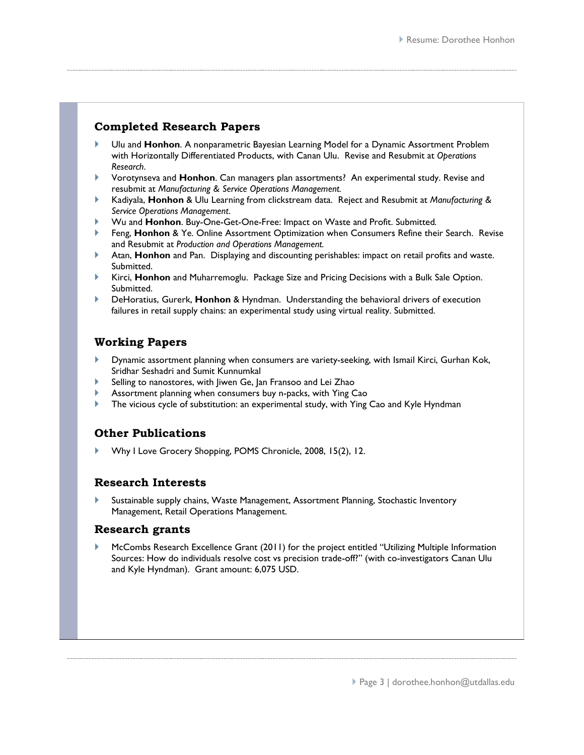# **Completed Research Papers**

- Ulu and **Honhon**. A nonparametric Bayesian Learning Model for a Dynamic Assortment Problem with Horizontally Differentiated Products, with Canan Ulu. Revise and Resubmit at *Operations Research*.
- Vorotynseva and **Honhon**. Can managers plan assortments? An experimental study. Revise and resubmit at *Manufacturing & Service Operations Management.*
- Kadiyala, **Honhon** & Ulu Learning from clickstream data. Reject and Resubmit at *Manufacturing & Service Operations Management*.
- Wu and **Honhon**. Buy-One-Get-One-Free: Impact on Waste and Profit. Submitted*.*
- Feng, **Honhon** & Ye. Online Assortment Optimization when Consumers Refine their Search. Revise and Resubmit at *Production and Operations Management.*
- Atan, **Honhon** and Pan. Displaying and discounting perishables: impact on retail profits and waste. Submitted.
- Kirci, **Honhon** and Muharremoglu. Package Size and Pricing Decisions with a Bulk Sale Option. Submitted.
- DeHoratius, Gurerk, **Honhon** & Hyndman. Understanding the behavioral drivers of execution failures in retail supply chains: an experimental study using virtual reality. Submitted.

# **Working Papers**

- Dynamic assortment planning when consumers are variety-seeking, with Ismail Kirci, Gurhan Kok, Sridhar Seshadri and Sumit Kunnumkal
- Selling to nanostores, with Jiwen Ge, Jan Fransoo and Lei Zhao
- Assortment planning when consumers buy n-packs, with Ying Cao
- The vicious cycle of substitution: an experimental study, with Ying Cao and Kyle Hyndman

# **Other Publications**

Why I Love Grocery Shopping, POMS Chronicle, 2008, 15(2), 12.

## **Research Interests**

 Sustainable supply chains, Waste Management, Assortment Planning, Stochastic Inventory Management, Retail Operations Management.

#### **Research grants**

 McCombs Research Excellence Grant (2011) for the project entitled "Utilizing Multiple Information Sources: How do individuals resolve cost vs precision trade-off?" (with co-investigators Canan Ulu and Kyle Hyndman). Grant amount: 6,075 USD.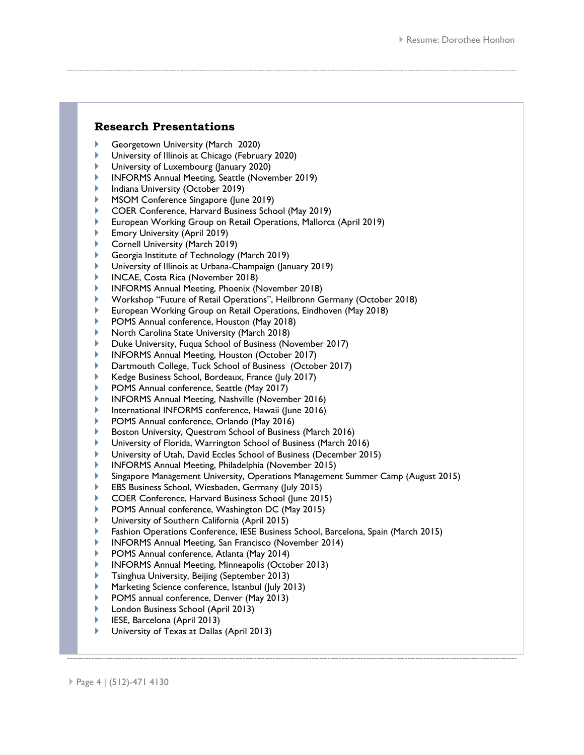#### **Research Presentations**

- Georgetown University (March 2020)
- University of Illinois at Chicago (February 2020)
- University of Luxembourg (January 2020)
- INFORMS Annual Meeting, Seattle (November 2019)
- Indiana University (October 2019)
- MSOM Conference Singapore (June 2019)
- COER Conference, Harvard Business School (May 2019)
- European Working Group on Retail Operations, Mallorca (April 2019)
- Emory University (April 2019)
- Cornell University (March 2019)
- Georgia Institute of Technology (March 2019)
- University of Illinois at Urbana-Champaign (January 2019)
- INCAE, Costa Rica (November 2018)
- INFORMS Annual Meeting, Phoenix (November 2018)
- Workshop "Future of Retail Operations", Heilbronn Germany (October 2018)
- European Working Group on Retail Operations, Eindhoven (May 2018)
- POMS Annual conference, Houston (May 2018)
- North Carolina State University (March 2018)
- Duke University, Fuqua School of Business (November 2017)
- INFORMS Annual Meeting, Houston (October 2017)
- Dartmouth College, Tuck School of Business (October 2017)
- Kedge Business School, Bordeaux, France (July 2017)
- POMS Annual conference, Seattle (May 2017)
- INFORMS Annual Meeting, Nashville (November 2016)
- International INFORMS conference, Hawaii (June 2016)
- POMS Annual conference, Orlando (May 2016)
- Boston University, Questrom School of Business (March 2016)
- University of Florida, Warrington School of Business (March 2016)
- University of Utah, David Eccles School of Business (December 2015)
- INFORMS Annual Meeting, Philadelphia (November 2015)
- Singapore Management University, Operations Management Summer Camp (August 2015)
- EBS Business School, Wiesbaden, Germany (July 2015)
- COER Conference, Harvard Business School (June 2015)
- POMS Annual conference, Washington DC (May 2015)
- University of Southern California (April 2015)
- Fashion Operations Conference, IESE Business School, Barcelona, Spain (March 2015)
- INFORMS Annual Meeting, San Francisco (November 2014)
- POMS Annual conference, Atlanta (May 2014)
- INFORMS Annual Meeting, Minneapolis (October 2013)
- Tsinghua University, Beijing (September 2013)
- Marketing Science conference, Istanbul (July 2013)
- POMS annual conference, Denver (May 2013)
- London Business School (April 2013)
- IESE, Barcelona (April 2013)
- University of Texas at Dallas (April 2013)

Page 4 | (512)-471 4130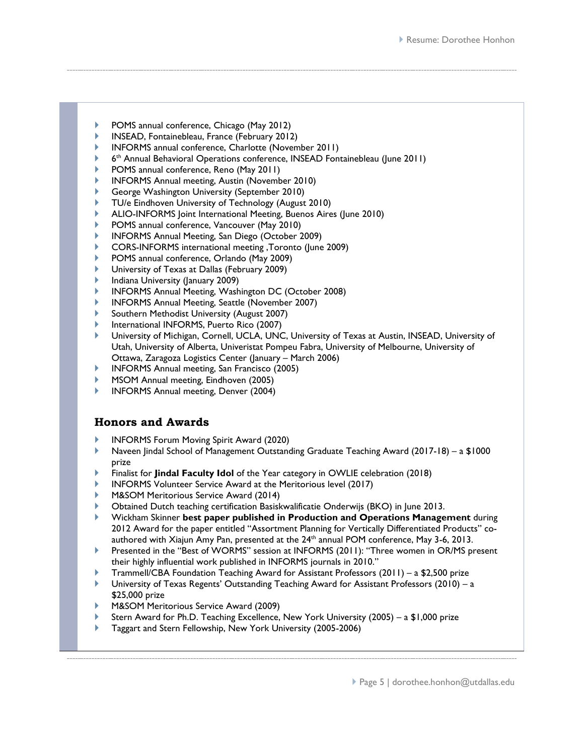- POMS annual conference, Chicago (May 2012)
- INSEAD, Fontainebleau, France (February 2012)
- INFORMS annual conference, Charlotte (November 2011)
- 6th Annual Behavioral Operations conference, INSEAD Fontainebleau (June 2011)
- POMS annual conference, Reno (May 2011)
- INFORMS Annual meeting, Austin (November 2010)
- George Washington University (September 2010)
- TU/e Eindhoven University of Technology (August 2010)
- ALIO-INFORMS Joint International Meeting, Buenos Aires (June 2010)
- POMS annual conference, Vancouver (May 2010)
- INFORMS Annual Meeting, San Diego (October 2009)
- CORS-INFORMS international meeting ,Toronto (June 2009)
- POMS annual conference, Orlando (May 2009)
- University of Texas at Dallas (February 2009)
- Indiana University (January 2009)
- INFORMS Annual Meeting, Washington DC (October 2008)
- INFORMS Annual Meeting, Seattle (November 2007)
- Southern Methodist University (August 2007)
- International INFORMS, Puerto Rico (2007)
- University of Michigan, Cornell, UCLA, UNC, University of Texas at Austin, INSEAD, University of Utah, University of Alberta, Univeristat Pompeu Fabra, University of Melbourne, University of Ottawa, Zaragoza Logistics Center (January – March 2006)
- INFORMS Annual meeting, San Francisco (2005)
- MSOM Annual meeting, Eindhoven (2005)
- INFORMS Annual meeting, Denver (2004)

## **Honors and Awards**

- INFORMS Forum Moving Spirit Award (2020)
- Naveen Jindal School of Management Outstanding Graduate Teaching Award (2017-18) a \$1000 prize
- Finalist for **Jindal Faculty Idol** of the Year category in OWLIE celebration (2018)
- INFORMS Volunteer Service Award at the Meritorious level (2017)
- M&SOM Meritorious Service Award (2014)
- Obtained Dutch teaching certification Basiskwalificatie Onderwijs (BKO) in June 2013.
- Wickham Skinner **best paper published in Production and Operations Management** during 2012 Award for the paper entitled "Assortment Planning for Vertically Differentiated Products" coauthored with Xiajun Amy Pan, presented at the  $24<sup>th</sup>$  annual POM conference, May 3-6, 2013.
- Presented in the "Best of WORMS" session at INFORMS (2011): ["Three women in OR/MS present](https://informs.emeetingsonline.com/emeetings/formbuilder/clustersessiondtl.asp?csnno=15013&mmnno=206&ppnno=0)  [their highly influential work published in INFORMS journals in 2010."](https://informs.emeetingsonline.com/emeetings/formbuilder/clustersessiondtl.asp?csnno=15013&mmnno=206&ppnno=0)
- Trammell/CBA Foundation Teaching Award for Assistant Professors (2011) a \$2,500 prize
- University of Texas Regents' Outstanding Teaching Award for Assistant Professors (2010) a \$25,000 prize
- M&SOM Meritorious Service Award (2009)
- Stern Award for Ph.D. Teaching Excellence, New York University (2005) a \$1,000 prize
- Taggart and Stern Fellowship, New York University (2005-2006)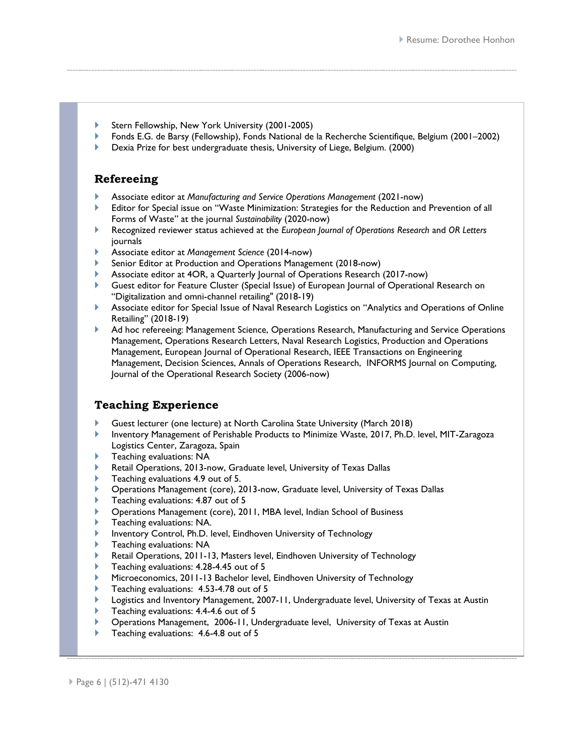- Stern Fellowship, New York University (2001-2005)
- Fonds E.G. de Barsy (Fellowship), Fonds National de la Recherche Scientifique, Belgium (2001–2002)
- Dexia Prize for best undergraduate thesis, University of Liege, Belgium. (2000)

## **Refereeing**

- Associate editor at *Manufacturing and Service Operations Management* (2021-now)
- Editor for Special issue on "Waste Minimization: Strategies for the Reduction and Prevention of all Forms of Waste" at the journal *Sustainability* (2020-now)
- Recognized reviewer status achieved at the *European Journal of Operations Research* and *OR Letters*  journals
- Associate editor at *Management Science* (2014-now)
- Senior Editor at Production and Operations Management (2018-now)
- Associate editor at 4OR, a Quarterly Journal of Operations Research (2017-now)
- Guest editor for Feature Cluster (Special Issue) of European Journal of Operational Research on "Digitalization and omni-channel retailing" (2018-19)
- Associate editor for Special Issue of Naval Research Logistics on "Analytics and Operations of Online Retailing" (2018-19)
- Ad hoc refereeing: Management Science, Operations Research, Manufacturing and Service Operations Management, Operations Research Letters, Naval Research Logistics, Production and Operations Management, European Journal of Operational Research, IEEE Transactions on Engineering Management, Decision Sciences, Annals of Operations Research, INFORMS Journal on Computing, Journal of the Operational Research Society (2006-now)

## **Teaching Experience**

- Guest lecturer (one lecture) at North Carolina State University (March 2018)
- Inventory Management of Perishable Products to Minimize Waste, 2017, Ph.D. level, MIT-Zaragoza Logistics Center, Zaragoza, Spain
- Teaching evaluations: NA
- Retail Operations, 2013-now, Graduate level, University of Texas Dallas
- Teaching evaluations 4.9 out of 5.
- Operations Management (core), 2013-now, Graduate level, University of Texas Dallas
- Teaching evaluations: 4.87 out of 5
- Operations Management (core), 2011, MBA level, Indian School of Business
- Teaching evaluations: NA.
- Inventory Control, Ph.D. level, Eindhoven University of Technology
- Teaching evaluations: NA
- Retail Operations, 2011-13, Masters level, Eindhoven University of Technology
- Teaching evaluations: 4.28-4.45 out of 5
- Microeconomics, 2011-13 Bachelor level, Eindhoven University of Technology
- Teaching evaluations: 4.53-4.78 out of 5
- Logistics and Inventory Management, 2007-11, Undergraduate level, University of Texas at Austin
- Teaching evaluations: 4.4-4.6 out of 5
- Operations Management, 2006-11, Undergraduate level, University of Texas at Austin
- Teaching evaluations: 4.6-4.8 out of 5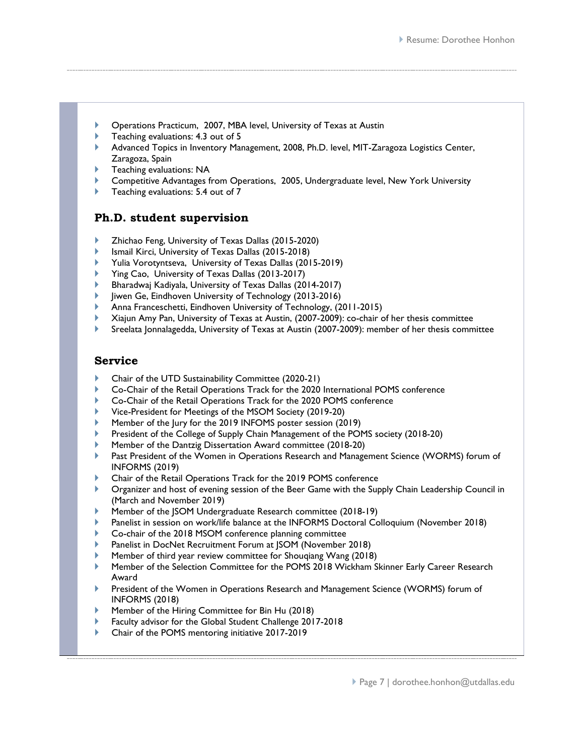- Operations Practicum, 2007, MBA level, University of Texas at Austin
- Teaching evaluations: 4.3 out of 5
- Advanced Topics in Inventory Management, 2008, Ph.D. level, MIT-Zaragoza Logistics Center, Zaragoza, Spain
- Teaching evaluations: NA
- Competitive Advantages from Operations, 2005, Undergraduate level, New York University
- Teaching evaluations: 5.4 out of 7

# **Ph.D. student supervision**

- Zhichao Feng, University of Texas Dallas (2015-2020)
- Ismail Kirci, University of Texas Dallas (2015-2018)
- Yulia Vorotyntseva, University of Texas Dallas (2015-2019)
- Ying Cao, University of Texas Dallas (2013-2017)
- Bharadwaj Kadiyala, University of Texas Dallas (2014-2017)
- Jiwen Ge, Eindhoven University of Technology (2013-2016)
- Anna Franceschetti, Eindhoven University of Technology, (2011-2015)
- Xiajun Amy Pan, University of Texas at Austin, (2007-2009): co-chair of her thesis committee
- Sreelata Jonnalagedda, University of Texas at Austin (2007-2009): member of her thesis committee

## **Service**

- Chair of the UTD Sustainability Committee (2020-21)
- Co-Chair of the Retail Operations Track for the 2020 International POMS conference
- Co-Chair of the Retail Operations Track for the 2020 POMS conference
- Vice-President for Meetings of the MSOM Society (2019-20)
- Member of the Jury for the 2019 INFOMS poster session (2019)
- President of the College of Supply Chain Management of the POMS society (2018-20)
- Member of the Dantzig Dissertation Award committee (2018-20)
- Past President of the Women in Operations Research and Management Science (WORMS) forum of INFORMS (2019)
- Chair of the Retail Operations Track for the 2019 POMS conference
- Organizer and host of evening session of the Beer Game with the Supply Chain Leadership Council in (March and November 2019)
- Member of the JSOM Undergraduate Research committee (2018-19)
- Panelist in session on work/life balance at the INFORMS Doctoral Colloquium (November 2018)
- Co-chair of the 2018 MSOM conference planning committee
- Panelist in DocNet Recruitment Forum at JSOM (November 2018)
- Member of third year review committee for Shouqiang Wang (2018)
- Member of the Selection Committee for the POMS 2018 Wickham Skinner Early Career Research Award
- President of the Women in Operations Research and Management Science (WORMS) forum of INFORMS (2018)
- Member of the Hiring Committee for Bin Hu (2018)
- Faculty advisor for the Global Student Challenge 2017-2018
- Chair of the POMS mentoring initiative 2017-2019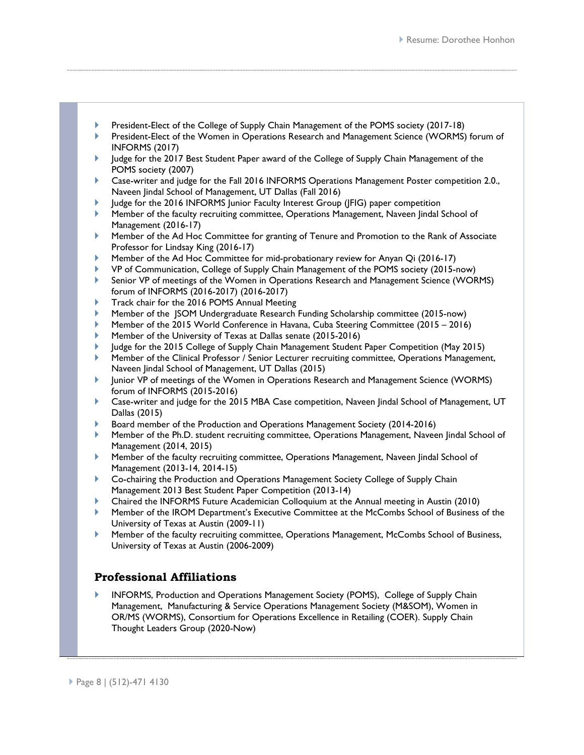- President-Elect of the College of Supply Chain Management of the POMS society (2017-18)
- President-Elect of the Women in Operations Research and Management Science (WORMS) forum of INFORMS (2017)
- Judge for the 2017 Best Student Paper award of the College of Supply Chain Management of the POMS society (2007)
- Case-writer and judge for the Fall 2016 INFORMS Operations Management Poster competition 2.0., Naveen Jindal School of Management, UT Dallas (Fall 2016)
- Judge for the 2016 INFORMS Junior Faculty Interest Group (JFIG) paper competition
- Member of the faculty recruiting committee, Operations Management, Naveen Jindal School of Management (2016-17)
- Member of the Ad Hoc Committee for granting of Tenure and Promotion to the Rank of Associate Professor for Lindsay King (2016-17)
- Member of the Ad Hoc Committee for mid-probationary review for Anyan Qi (2016-17)
- VP of Communication, College of Supply Chain Management of the POMS society (2015-now)
- Senior VP of meetings of the Women in Operations Research and Management Science (WORMS) forum of INFORMS (2016-2017) (2016-2017)
- Track chair for the 2016 POMS Annual Meeting
- Member of the JSOM Undergraduate Research Funding Scholarship committee (2015-now)
- Member of the 2015 World Conference in Havana, Cuba Steering Committee (2015 2016)
- Member of the University of Texas at Dallas senate (2015-2016)
- Judge for the 2015 College of Supply Chain Management Student Paper Competition (May 2015)
- Member of the Clinical Professor / Senior Lecturer recruiting committee, Operations Management, Naveen Jindal School of Management, UT Dallas (2015)
- Junior VP of meetings of the Women in Operations Research and Management Science (WORMS) forum of INFORMS (2015-2016)
- Case-writer and judge for the 2015 MBA Case competition, Naveen Jindal School of Management, UT Dallas (2015)
- Board member of the Production and Operations Management Society (2014-2016)
- Member of the Ph.D. student recruiting committee, Operations Management, Naveen Jindal School of Management (2014, 2015)
- Member of the faculty recruiting committee, Operations Management, Naveen Jindal School of Management (2013-14, 2014-15)
- Co-chairing the Production and Operations Management Society College of Supply Chain Management 2013 Best Student Paper Competition (2013-14)
- Chaired the INFORMS Future Academician Colloquium at the Annual meeting in Austin (2010)
- Member of the IROM Department's Executive Committee at the McCombs School of Business of the University of Texas at Austin (2009-11)
- Member of the faculty recruiting committee, Operations Management, McCombs School of Business, University of Texas at Austin (2006-2009)

# **Professional Affiliations**

 INFORMS, Production and Operations Management Society (POMS), College of Supply Chain Management, Manufacturing & Service Operations Management Society (M&SOM), Women in OR/MS (WORMS), Consortium for Operations Excellence in Retailing (COER). Supply Chain Thought Leaders Group (2020-Now)